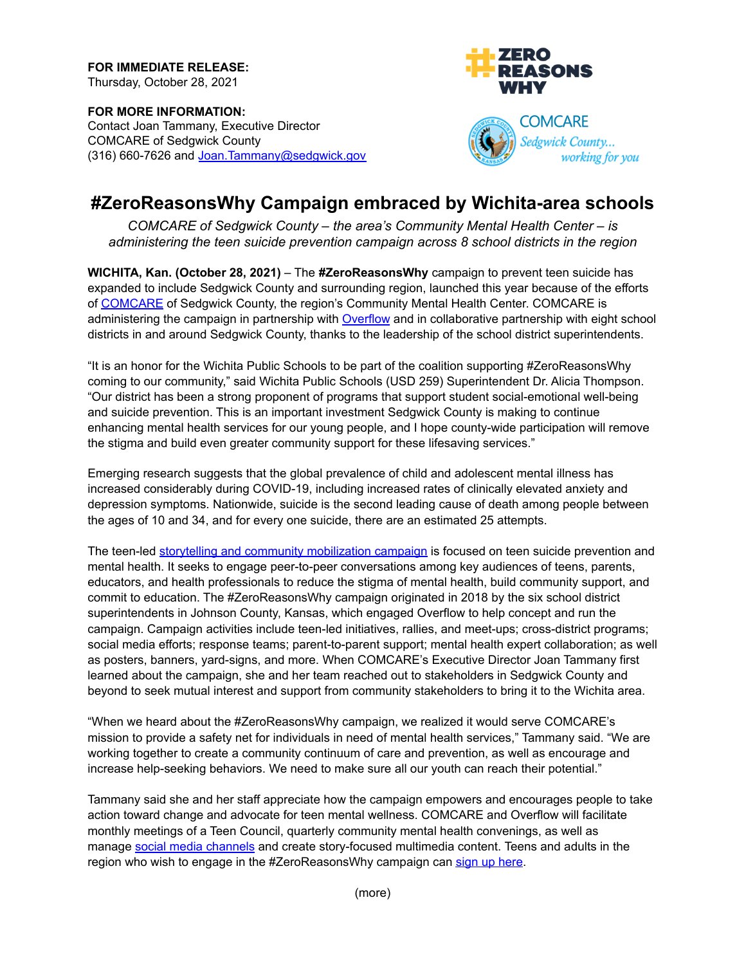**FOR IMMEDIATE RELEASE:** Thursday, October 28, 2021

**FOR MORE INFORMATION:** Contact Joan Tammany, Executive Director COMCARE of Sedgwick County (316) 660-7626 and [Joan.Tammany@sedgwick.gov](mailto:Joan.Tammany@sedgwick.gov)





## **#ZeroReasonsWhy Campaign embraced by Wichita-area schools**

*COMCARE of Sedgwick County – the area's Community Mental Health Center – is administering the teen suicide prevention campaign across 8 school districts in the region*

**WICHITA, Kan. (October 28, 2021)** – The **#ZeroReasonsWhy** campaign to prevent teen suicide has expanded to include Sedgwick County and surrounding region, launched this year because of the efforts of [COMCARE](https://www.sedgwickcounty.org/comcare) of Sedgwick County, the region's Community Mental Health Center. COMCARE is administering the campaign in partnership with [Overflow](https://overflowco.com/) and in collaborative partnership with eight school districts in and around Sedgwick County, thanks to the leadership of the school district superintendents.

"It is an honor for the Wichita Public Schools to be part of the coalition supporting #ZeroReasonsWhy coming to our community," said Wichita Public Schools (USD 259) Superintendent Dr. Alicia Thompson. "Our district has been a strong proponent of programs that support student social-emotional well-being and suicide prevention. This is an important investment Sedgwick County is making to continue enhancing mental health services for our young people, and I hope county-wide participation will remove the stigma and build even greater community support for these lifesaving services."

Emerging research suggests that the global prevalence of child and adolescent mental illness has increased considerably during COVID-19, including increased rates of clinically elevated anxiety and depression symptoms. Nationwide, suicide is the second leading cause of death among people between the ages of 10 and 34, and for every one suicide, there are an estimated 25 attempts.

The teen-led storytelling and community [mobilization](https://www.zeroreasonswhy.org/) campaign is focused on teen suicide prevention and mental health. It seeks to engage peer-to-peer conversations among key audiences of teens, parents, educators, and health professionals to reduce the stigma of mental health, build community support, and commit to education. The #ZeroReasonsWhy campaign originated in 2018 by the six school district superintendents in Johnson County, Kansas, which engaged Overflow to help concept and run the campaign. Campaign activities include teen-led initiatives, rallies, and meet-ups; cross-district programs; social media efforts; response teams; parent-to-parent support; mental health expert collaboration; as well as posters, banners, yard-signs, and more. When COMCARE's Executive Director Joan Tammany first learned about the campaign, she and her team reached out to stakeholders in Sedgwick County and beyond to seek mutual interest and support from community stakeholders to bring it to the Wichita area.

"When we heard about the #ZeroReasonsWhy campaign, we realized it would serve COMCARE's mission to provide a safety net for individuals in need of mental health services," Tammany said. "We are working together to create a community continuum of care and prevention, as well as encourage and increase help-seeking behaviors. We need to make sure all our youth can reach their potential."

Tammany said she and her staff appreciate how the campaign empowers and encourages people to take action toward change and advocate for teen mental wellness. COMCARE and Overflow will facilitate monthly meetings of a Teen Council, quarterly community mental health convenings, as well as manage social media [channels](https://www.instagram.com/zeroreasonswhy_ict/) and create story-focused multimedia content. Teens and adults in the region who wish to engage in the #ZeroReasonsWhy campaign can sign up [here](https://www.zeroreasonswhy.org/getinvolved).